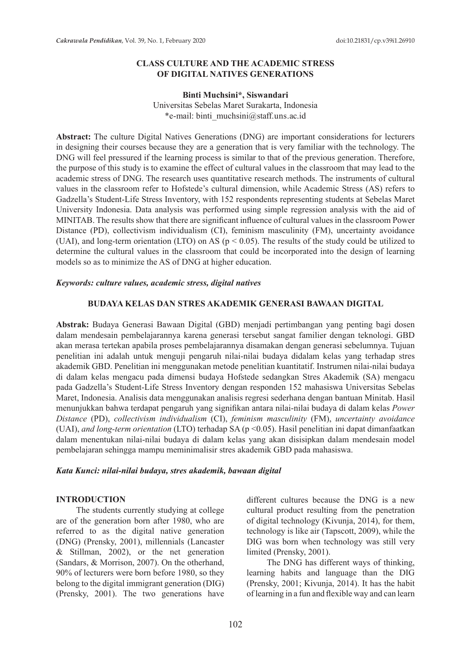#### **CLASS CULTURE AND THE ACADEMIC STRESS OF DIGITAL NATIVES GENERATIONS**

#### **Binti Muchsini\*, Siswandari**

Universitas Sebelas Maret Surakarta, Indonesia \*e-mail: binti\_muchsini@staff.uns.ac.id

**Abstract:** The culture Digital Natives Generations (DNG) are important considerations for lecturers in designing their courses because they are a generation that is very familiar with the technology. The DNG will feel pressured if the learning process is similar to that of the previous generation. Therefore, the purpose of this study is to examine the effect of cultural values in the classroom that may lead to the academic stress of DNG. The research uses quantitative research methods. The instruments of cultural values in the classroom refer to Hofstede's cultural dimension, while Academic Stress (AS) refers to Gadzella's Student-Life Stress Inventory, with 152 respondents representing students at Sebelas Maret University Indonesia. Data analysis was performed using simple regression analysis with the aid of MINITAB. The results show that there are significant influence of cultural values in the classroom Power Distance (PD), collectivism individualism (CI), feminism masculinity (FM), uncertainty avoidance (UAI), and long-term orientation (LTO) on AS ( $p < 0.05$ ). The results of the study could be utilized to determine the cultural values in the classroom that could be incorporated into the design of learning models so as to minimize the AS of DNG at higher education.

#### *Keywords: culture values, academic stress, digital natives*

#### **BUDAYA KELAS DAN STRES AKADEMIK GENERASI BAWAAN DIGITAL**

**Abstrak:** Budaya Generasi Bawaan Digital (GBD) menjadi pertimbangan yang penting bagi dosen dalam mendesain pembelajarannya karena generasi tersebut sangat familier dengan teknologi. GBD akan merasa tertekan apabila proses pembelajarannya disamakan dengan generasi sebelumnya. Tujuan penelitian ini adalah untuk menguji pengaruh nilai-nilai budaya didalam kelas yang terhadap stres akademik GBD. Penelitian ini menggunakan metode penelitian kuantitatif. Instrumen nilai-nilai budaya di dalam kelas mengacu pada dimensi budaya Hofstede sedangkan Stres Akademik (SA) mengacu pada Gadzella's Student-Life Stress Inventory dengan responden 152 mahasiswa Universitas Sebelas Maret, Indonesia. Analisis data menggunakan analisis regresi sederhana dengan bantuan Minitab. Hasil menunjukkan bahwa terdapat pengaruh yang signifikan antara nilai-nilai budaya di dalam kelas *Power Distance* (PD), *collectivism individualism* (CI), *feminism masculinity* (FM), *uncertainty avoidance* (UAI), *and long-term orientation* (LTO) terhadap SA (p <0.05). Hasil penelitian ini dapat dimanfaatkan dalam menentukan nilai-nilai budaya di dalam kelas yang akan disisipkan dalam mendesain model pembelajaran sehingga mampu meminimalisir stres akademik GBD pada mahasiswa.

#### *Kata Kunci: nilai-nilai budaya, stres akademik, bawaan digital*

#### **INTRODUCTION**

The students currently studying at college are of the generation born after 1980, who are referred to as the digital native generation (DNG) (Prensky, 2001), millennials (Lancaster & Stillman, 2002), or the net generation (Sandars, & Morrison, 2007). On the otherhand, 90% of lecturers were born before 1980, so they belong to the digital immigrant generation (DIG) (Prensky, 2001). The two generations have different cultures because the DNG is a new cultural product resulting from the penetration of digital technology (Kivunja, 2014), for them, technology is like air (Tapscott, 2009), while the DIG was born when technology was still very limited (Prensky, 2001).

The DNG has different ways of thinking, learning habits and language than the DIG (Prensky, 2001; Kivunja, 2014). It has the habit of learning in a fun and flexible way and can learn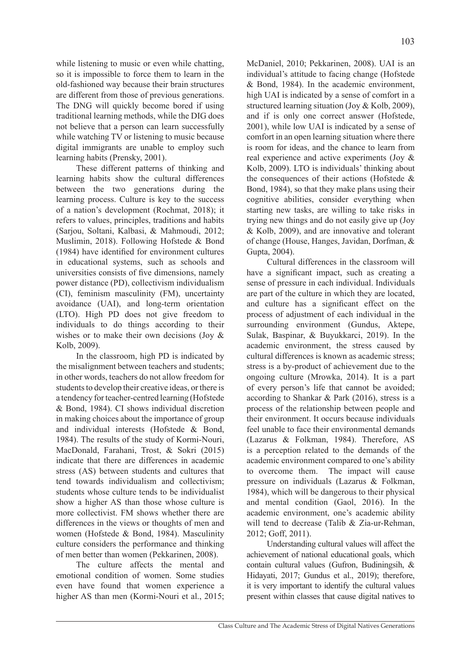while listening to music or even while chatting, so it is impossible to force them to learn in the old-fashioned way because their brain structures are different from those of previous generations. The DNG will quickly become bored if using traditional learning methods, while the DIG does not believe that a person can learn successfully while watching TV or listening to music because digital immigrants are unable to employ such learning habits (Prensky, 2001).

These different patterns of thinking and learning habits show the cultural differences between the two generations during the learning process. Culture is key to the success of a nation's development (Rochmat, 2018); it refers to values, principles, traditions and habits (Sarjou, Soltani, Kalbasi, & Mahmoudi, 2012; Muslimin, 2018). Following Hofstede & Bond (1984) have identified for environment cultures in educational systems, such as schools and universities consists of five dimensions, namely power distance (PD), collectivism individualism (CI), feminism masculinity (FM), uncertainty avoidance (UAI), and long-term orientation (LTO). High PD does not give freedom to individuals to do things according to their wishes or to make their own decisions (Joy & Kolb, 2009).

In the classroom, high PD is indicated by the misalignment between teachers and students; in other words, teachers do not allow freedom for students to develop their creative ideas, or there is a tendency for teacher-centred learning (Hofstede & Bond, 1984). CI shows individual discretion in making choices about the importance of group and individual interests (Hofstede & Bond, 1984). The results of the study of Kormi-Nouri, MacDonald, Farahani, Trost, & Sokri (2015) indicate that there are differences in academic stress (AS) between students and cultures that tend towards individualism and collectivism; students whose culture tends to be individualist show a higher AS than those whose culture is more collectivist. FM shows whether there are differences in the views or thoughts of men and women (Hofstede & Bond, 1984). Masculinity culture considers the performance and thinking of men better than women (Pekkarinen, 2008).

The culture affects the mental and emotional condition of women. Some studies even have found that women experience a higher AS than men (Kormi-Nouri et al., 2015; McDaniel, 2010; Pekkarinen, 2008). UAI is an individual's attitude to facing change (Hofstede & Bond, 1984). In the academic environment, high UAI is indicated by a sense of comfort in a structured learning situation (Joy & Kolb, 2009), and if is only one correct answer (Hofstede, 2001), while low UAI is indicated by a sense of comfort in an open learning situation where there is room for ideas, and the chance to learn from real experience and active experiments (Joy & Kolb, 2009). LTO is individuals' thinking about the consequences of their actions (Hofstede  $\&$ Bond, 1984), so that they make plans using their cognitive abilities, consider everything when starting new tasks, are willing to take risks in trying new things and do not easily give up (Joy & Kolb, 2009), and are innovative and tolerant of change (House, Hanges, Javidan, Dorfman, & Gupta, 2004).

Cultural differences in the classroom will have a significant impact, such as creating a sense of pressure in each individual. Individuals are part of the culture in which they are located, and culture has a significant effect on the process of adjustment of each individual in the surrounding environment (Gundus, Aktepe, Sulak, Baspinar, & Buyukkarci, 2019). In the academic environment, the stress caused by cultural differences is known as academic stress; stress is a by-product of achievement due to the ongoing culture (Mrowka, 2014). It is a part of every person's life that cannot be avoided; according to Shankar & Park (2016), stress is a process of the relationship between people and their environment. It occurs because individuals feel unable to face their environmental demands (Lazarus & Folkman, 1984). Therefore, AS is a perception related to the demands of the academic environment compared to one's ability to overcome them. The impact will cause pressure on individuals (Lazarus & Folkman, 1984), which will be dangerous to their physical and mental condition (Gaol, 2016). In the academic environment, one's academic ability will tend to decrease (Talib & Zia-ur-Rehman, 2012; Goff, 2011).

Understanding cultural values will affect the achievement of national educational goals, which contain cultural values (Gufron, Budiningsih, & Hidayati, 2017; Gundus et al., 2019); therefore, it is very important to identify the cultural values present within classes that cause digital natives to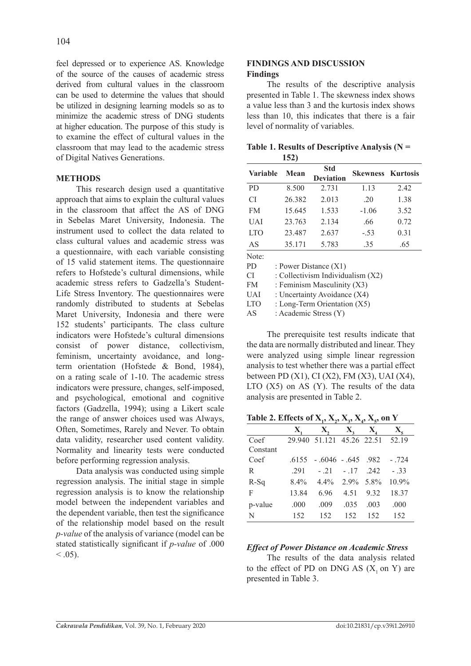feel depressed or to experience AS. Knowledge of the source of the causes of academic stress derived from cultural values in the classroom can be used to determine the values that should be utilized in designing learning models so as to minimize the academic stress of DNG students at higher education. The purpose of this study is to examine the effect of cultural values in the classroom that may lead to the academic stress of Digital Natives Generations.

## **METHODS**

This research design used a quantitative approach that aims to explain the cultural values in the classroom that affect the AS of DNG in Sebelas Maret University, Indonesia. The instrument used to collect the data related to class cultural values and academic stress was a questionnaire, with each variable consisting of 15 valid statement items. The questionnaire refers to Hofstede's cultural dimensions, while academic stress refers to Gadzella's Student-Life Stress Inventory. The questionnaires were randomly distributed to students at Sebelas Maret University, Indonesia and there were 152 students' participants. The class culture indicators were Hofstede's cultural dimensions consist of power distance, collectivism, feminism, uncertainty avoidance, and longterm orientation (Hofstede & Bond, 1984), on a rating scale of 1-10. The academic stress indicators were pressure, changes, self-imposed, and psychological, emotional and cognitive factors (Gadzella, 1994); using a Likert scale the range of answer choices used was Always, Often, Sometimes, Rarely and Never. To obtain data validity, researcher used content validity. Normality and linearity tests were conducted before performing regression analysis.

Data analysis was conducted using simple regression analysis. The initial stage in simple regression analysis is to know the relationship model between the independent variables and the dependent variable, then test the significance of the relationship model based on the result *p-value* of the analysis of variance (model can be stated statistically significant if *p-value* of .000  $< 0.05$ ).

### **FINDINGS AND DISCUSSION Findings**

The results of the descriptive analysis presented in Table 1. The skewness index shows a value less than 3 and the kurtosis index shows less than 10, this indicates that there is a fair level of normality of variables.

| Table 1. Results of Descriptive Analysis ( $N =$ |  |
|--------------------------------------------------|--|
| <b>152</b> )                                     |  |

| <b>Variable</b>                          | Mean                              | <b>Std</b>              |         | <b>Skewness Kurtosis</b> |  |  |  |
|------------------------------------------|-----------------------------------|-------------------------|---------|--------------------------|--|--|--|
|                                          |                                   | <b>Deviation</b>        |         |                          |  |  |  |
| <b>PD</b>                                | 8.500                             | 2.731                   | 1.13    | 2.42                     |  |  |  |
| <b>CI</b>                                | 26.382                            | 2.013                   | .20     | 1.38                     |  |  |  |
| <b>FM</b>                                | 15.645                            | 1.533                   | $-1.06$ | 3.52                     |  |  |  |
| UAI                                      | 23.763                            | 2.134                   | .66     | 0.72                     |  |  |  |
| <b>LTO</b>                               | 23.487                            | 2.637                   | $-.53$  | 0.31                     |  |  |  |
| AS                                       | 35.171                            | 5.783                   | .35     | .65                      |  |  |  |
| Note:                                    |                                   |                         |         |                          |  |  |  |
| PD.                                      |                                   | : Power Distance $(X1)$ |         |                          |  |  |  |
| CI                                       | : Collectivism Individualism (X2) |                         |         |                          |  |  |  |
| : Feminism Masculinity (X3)<br><b>FM</b> |                                   |                         |         |                          |  |  |  |

UAI : Uncertainty Avoidance (X4)

LTO : Long-Term Orientation (X5)

AS : Academic Stress (Y)

The prerequisite test results indicate that the data are normally distributed and linear. They were analyzed using simple linear regression analysis to test whether there was a partial effect between PD (X1), CI (X2), FM (X3), UAI (X4), LTO  $(X5)$  on AS  $(Y)$ . The results of the data analysis are presented in Table 2.

Table 2. Effects of  $X_1$ ,  $X_2$ ,  $X_3$ ,  $X_4$ ,  $X_5$ , on Y

|          | X.      | X.                          |           |      |          |
|----------|---------|-----------------------------|-----------|------|----------|
| Coef     |         | 29.940 51.121 45.26 22.51   |           |      | 52.19    |
| Constant |         |                             |           |      |          |
| Coef     |         | $.6155 - .6046 - .645$ .982 |           |      | $-.724$  |
| R        | .291    | $-.21$                      | $-.17$    | .242 | $-33$    |
| $R-Sq$   | $8.4\%$ | $4.4\%$                     | 2.9% 5.8% |      | $10.9\%$ |
| F        | 13.84   | 6.96                        | 4.51      | 9.32 | 18.37    |
| p-value  | .000    | .009                        | .035      | .003 | .000     |
| N        | 152     | 152                         | 152       | 152  | 152      |

# *Effect of Power Distance on Academic Stress*

The results of the data analysis related to the effect of PD on DNG AS  $(X, on Y)$  are presented in Table 3.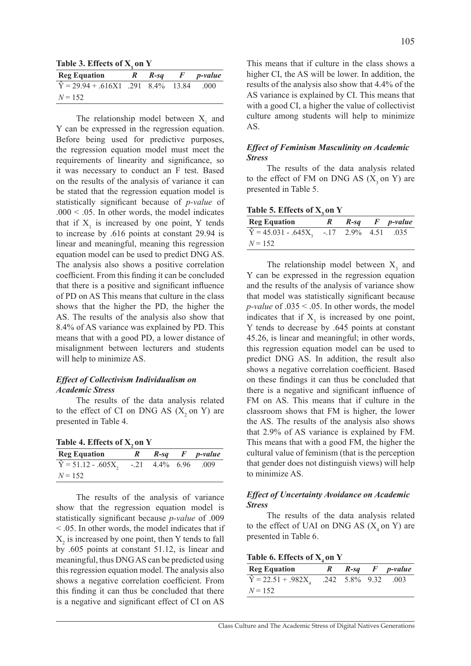Table 3. Effects of X<sub>1</sub> on Y

| <b>Reg Equation</b>                        | R | $R$ -sq | F | <i>p</i> -value |
|--------------------------------------------|---|---------|---|-----------------|
| $\hat{Y} = 29.94 + .616X1$ .291 8.4% 13.84 |   |         |   | .000            |
| $N = 152$                                  |   |         |   |                 |

The relationship model between  $X_1$  and Y can be expressed in the regression equation. Before being used for predictive purposes, the regression equation model must meet the requirements of linearity and significance, so it was necessary to conduct an F test. Based on the results of the analysis of variance it can be stated that the regression equation model is statistically significant because of *p-value* of  $.000 \leq .05$ . In other words, the model indicates that if  $X_1$  is increased by one point, Y tends to increase by .616 points at constant 29.94 is linear and meaningful, meaning this regression equation model can be used to predict DNG AS. The analysis also shows a positive correlation coefficient. From this finding it can be concluded that there is a positive and significant influence of PD on AS This means that culture in the class shows that the higher the PD, the higher the AS. The results of the analysis also show that 8.4% of AS variance was explained by PD. This means that with a good PD, a lower distance of misalignment between lecturers and students will help to minimize AS.

#### *Effect of Collectivism Individualism on Academic Stress*

The results of the data analysis related to the effect of CI on DNG AS  $(X, \text{on } Y)$  are presented in Table 4.

| Table 4. Effects of X, on Y |  |  |  |  |
|-----------------------------|--|--|--|--|
|-----------------------------|--|--|--|--|

| <b>Reg Equation</b>       | $R$ -sq           | $F$ <i>p</i> -value |
|---------------------------|-------------------|---------------------|
| $\hat{Y} = 51.12 - .605X$ | $-0.21$ 4.4% 6.96 | .009                |
| $N = 152$                 |                   |                     |

The results of the analysis of variance show that the regression equation model is statistically significant because *p-value* of .009 < .05. In other words, the model indicates that if  $X_2$  is increased by one point, then Y tends to fall by .605 points at constant 51.12, is linear and meaningful, thus DNG AS can be predicted using this regression equation model. The analysis also shows a negative correlation coefficient. From this finding it can thus be concluded that there is a negative and significant effect of CI on AS

This means that if culture in the class shows a higher CI, the AS will be lower. In addition, the results of the analysis also show that 4.4% of the AS variance is explained by CI. This means that with a good CI, a higher the value of collectivist culture among students will help to minimize AS.

### *Effect of Feminism Masculinity on Academic Stress*

The results of the data analysis related to the effect of FM on DNG AS  $(X, on Y)$  are presented in Table 5.

**Table 5. Effects of X, on Y** 

| <b>Reg Equation</b>                         | $R$ -sq | $F$ <i>p</i> -value |
|---------------------------------------------|---------|---------------------|
| $\hat{Y} = 45.031 - .645X$ , -.17 2.9% 4.51 |         | .035                |
| $N = 152$                                   |         |                     |

The relationship model between  $X_3$  and Y can be expressed in the regression equation and the results of the analysis of variance show that model was statistically significant because *p-value* of .035 < .05. In other words, the model indicates that if  $X_3$  is increased by one point, Y tends to decrease by .645 points at constant 45.26, is linear and meaningful; in other words, this regression equation model can be used to predict DNG AS. In addition, the result also shows a negative correlation coefficient. Based on these findings it can thus be concluded that there is a negative and significant influence of FM on AS. This means that if culture in the classroom shows that FM is higher, the lower the AS. The results of the analysis also shows that 2.9% of AS variance is explained by FM. This means that with a good FM, the higher the cultural value of feminism (that is the perception that gender does not distinguish views) will help to minimize AS.

#### *Effect of Uncertainty Avoidance on Academic Stress*

The results of the data analysis related to the effect of UAI on DNG AS  $(X_4$  on Y) are presented in Table 6.

Table 6. Effects of  $X_4$  on Y

| <b>Reg Equation</b>         | $R$ -sq                       | $F$ <i>p</i> -value |
|-----------------------------|-------------------------------|---------------------|
| $\hat{Y} = 22.51 + .982X_4$ | $.242 \quad 5.8\% \quad 9.32$ | (003                |
| $N = 152$                   |                               |                     |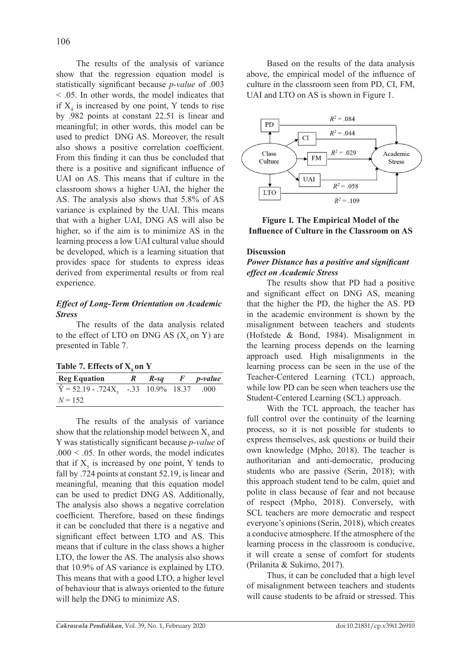The results of the analysis of variance show that the regression equation model is statistically significant because *p-value* of .003 < .05. In other words, the model indicates that if  $X_4$  is increased by one point, Y tends to rise by .982 points at constant 22.51 is linear and meaningful; in other words, this model can be used to predict DNG AS. Moreover, the result also shows a positive correlation coefficient. From this finding it can thus be concluded that there is a positive and significant influence of UAI on AS. This means that if culture in the classroom shows a higher UAI, the higher the AS. The analysis also shows that 5.8% of AS variance is explained by the UAI. This means that with a higher UAI, DNG AS will also be higher, so if the aim is to minimize AS in the learning process a low UAI cultural value should be developed, which is a learning situation that provides space for students to express ideas derived from experimental results or from real experience.

## *Effect of Long-Term Orientation on Academic Stress*

The results of the data analysis related to the effect of LTO on DNG AS  $(X_5$  on Y) are presented in Table 7.

Table 7. Effects of **X**<sub>1</sub> on **Y** 

| <b>Reg Equation</b>                                    | K. | $R$ -sq | <i>p</i> -value |
|--------------------------------------------------------|----|---------|-----------------|
| $\widehat{Y} = 52.19 - .724X_5 - .33 - 10.9\% - 18.37$ |    |         | .000            |
| $N = 152$                                              |    |         |                 |

The results of the analysis of variance show that the relationship model between  $X_s$  and Y was statistically significant because *p-value* of  $.000 < .05$ . In other words, the model indicates that if  $X<sub>5</sub>$  is increased by one point, Y tends to fall by .724 points at constant 52.19, is linear and meaningful, meaning that this equation model can be used to predict DNG AS. Additionally, The analysis also shows a negative correlation coefficient. Therefore, based on these findings it can be concluded that there is a negative and significant effect between LTO and AS. This means that if culture in the class shows a higher LTO, the lower the AS. The analysis also shows that 10.9% of AS variance is explained by LTO. This means that with a good LTO, a higher level of behaviour that is always oriented to the future will help the DNG to minimize AS.

Based on the results of the data analysis above, the empirical model of the influence of culture in the classroom seen from PD, CI, FM, UAI and LTO on AS is shown in Figure 1.





## **Discussion**

## *Power Distance has a positive and significant effect on Academic Stress*

The results show that PD had a positive and significant effect on DNG AS, meaning that the higher the PD, the higher the AS. PD in the academic environment is shown by the misalignment between teachers and students (Hofstede & Bond, 1984). Misalignment in the learning process depends on the learning approach used. High misalignments in the learning process can be seen in the use of the Teacher-Centered Learning (TCL) approach, while low PD can be seen when teachers use the Student-Centered Learning (SCL) approach.

With the TCL approach, the teacher has full control over the continuity of the learning process, so it is not possible for students to express themselves, ask questions or build their own knowledge (Mpho, 2018). The teacher is authoritarian and anti-democratic, producing students who are passive (Serin, 2018); with this approach student tend to be calm, quiet and polite in class because of fear and not because of respect (Mpho, 2018). Conversely, with SCL teachers are more democratic and respect everyone's opinions (Serin, 2018), which creates a conducive atmosphere. If the atmosphere of the learning process in the classroom is conducive, it will create a sense of comfort for students (Prilanita & Sukirno, 2017).

Thus, it can be concluded that a high level of misalignment between teachers and students will cause students to be afraid or stressed. This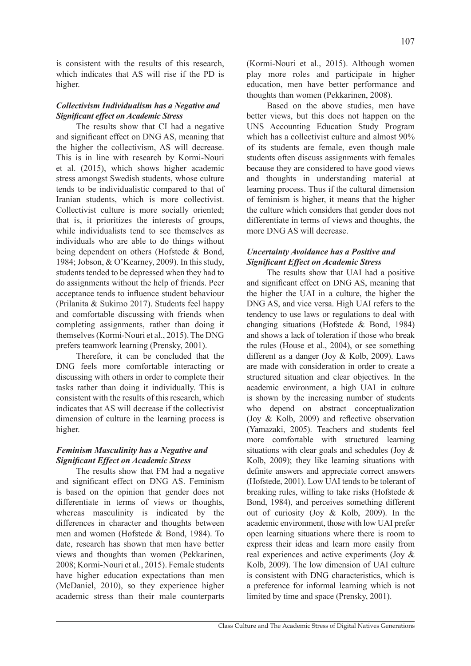is consistent with the results of this research, which indicates that AS will rise if the PD is higher.

## *Collectivism Individualism has a Negative and Significant effect on Academic Stress*

The results show that CI had a negative and significant effect on DNG AS, meaning that the higher the collectivism, AS will decrease. This is in line with research by Kormi-Nouri et al. (2015), which shows higher academic stress amongst Swedish students, whose culture tends to be individualistic compared to that of Iranian students, which is more collectivist. Collectivist culture is more socially oriented; that is, it prioritizes the interests of groups, while individualists tend to see themselves as individuals who are able to do things without being dependent on others (Hofstede & Bond, 1984; Jobson, & O'Kearney, 2009). In this study, students tended to be depressed when they had to do assignments without the help of friends. Peer acceptance tends to influence student behaviour (Prilanita & Sukirno 2017). Students feel happy and comfortable discussing with friends when completing assignments, rather than doing it themselves (Kormi-Nouri et al., 2015). The DNG prefers teamwork learning (Prensky, 2001).

Therefore, it can be concluded that the DNG feels more comfortable interacting or discussing with others in order to complete their tasks rather than doing it individually. This is consistent with the results of this research, which indicates that AS will decrease if the collectivist dimension of culture in the learning process is higher.

## *Feminism Masculinity has a Negative and Significant Effect on Academic Stress*

The results show that FM had a negative and significant effect on DNG AS. Feminism is based on the opinion that gender does not differentiate in terms of views or thoughts, whereas masculinity is indicated by the differences in character and thoughts between men and women (Hofstede & Bond, 1984). To date, research has shown that men have better views and thoughts than women (Pekkarinen, 2008; Kormi-Nouri et al., 2015). Female students have higher education expectations than men (McDaniel, 2010), so they experience higher academic stress than their male counterparts

(Kormi-Nouri et al., 2015). Although women play more roles and participate in higher education, men have better performance and thoughts than women (Pekkarinen, 2008).

Based on the above studies, men have better views, but this does not happen on the UNS Accounting Education Study Program which has a collectivist culture and almost 90% of its students are female, even though male students often discuss assignments with females because they are considered to have good views and thoughts in understanding material at learning process. Thus if the cultural dimension of feminism is higher, it means that the higher the culture which considers that gender does not differentiate in terms of views and thoughts, the more DNG AS will decrease.

## *Uncertainty Avoidance has a Positive and Significant Effect on Academic Stress*

The results show that UAI had a positive and significant effect on DNG AS, meaning that the higher the UAI in a culture, the higher the DNG AS, and vice versa. High UAI refers to the tendency to use laws or regulations to deal with changing situations (Hofstede & Bond, 1984) and shows a lack of toleration if those who break the rules (House et al., 2004), or see something different as a danger (Joy & Kolb, 2009). Laws are made with consideration in order to create a structured situation and clear objectives. In the academic environment, a high UAI in culture is shown by the increasing number of students who depend on abstract conceptualization (Joy & Kolb, 2009) and reflective observation (Yamazaki, 2005). Teachers and students feel more comfortable with structured learning situations with clear goals and schedules (Joy  $\&$ Kolb, 2009); they like learning situations with definite answers and appreciate correct answers (Hofstede, 2001). Low UAI tends to be tolerant of breaking rules, willing to take risks (Hofstede & Bond, 1984), and perceives something different out of curiosity (Joy & Kolb, 2009). In the academic environment, those with low UAI prefer open learning situations where there is room to express their ideas and learn more easily from real experiences and active experiments (Joy & Kolb, 2009). The low dimension of UAI culture is consistent with DNG characteristics, which is a preference for informal learning which is not limited by time and space (Prensky, 2001).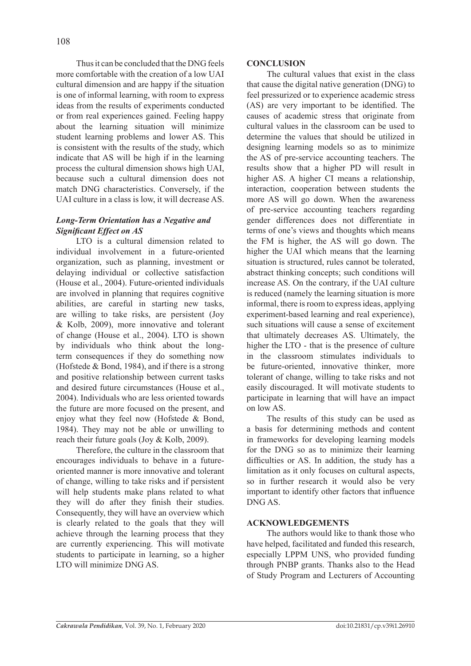Thus it can be concluded that the DNG feels more comfortable with the creation of a low UAI cultural dimension and are happy if the situation is one of informal learning, with room to express ideas from the results of experiments conducted or from real experiences gained. Feeling happy about the learning situation will minimize student learning problems and lower AS. This is consistent with the results of the study, which indicate that AS will be high if in the learning process the cultural dimension shows high UAI, because such a cultural dimension does not match DNG characteristics. Conversely, if the UAI culture in a class is low, it will decrease AS.

# *Long-Term Orientation has a Negative and Significant Effect on AS*

LTO is a cultural dimension related to individual involvement in a future-oriented organization, such as planning, investment or delaying individual or collective satisfaction (House et al., 2004). Future-oriented individuals are involved in planning that requires cognitive abilities, are careful in starting new tasks, are willing to take risks, are persistent (Joy & Kolb, 2009), more innovative and tolerant of change (House et al., 2004). LTO is shown by individuals who think about the longterm consequences if they do something now (Hofstede & Bond, 1984), and if there is a strong and positive relationship between current tasks and desired future circumstances (House et al., 2004). Individuals who are less oriented towards the future are more focused on the present, and enjoy what they feel now (Hofstede & Bond, 1984). They may not be able or unwilling to reach their future goals (Joy & Kolb, 2009).

Therefore, the culture in the classroom that encourages individuals to behave in a futureoriented manner is more innovative and tolerant of change, willing to take risks and if persistent will help students make plans related to what they will do after they finish their studies. Consequently, they will have an overview which is clearly related to the goals that they will achieve through the learning process that they are currently experiencing. This will motivate students to participate in learning, so a higher LTO will minimize DNG AS.

## **CONCLUSION**

The cultural values that exist in the class that cause the digital native generation (DNG) to feel pressurized or to experience academic stress (AS) are very important to be identified. The causes of academic stress that originate from cultural values in the classroom can be used to determine the values that should be utilized in designing learning models so as to minimize the AS of pre-service accounting teachers. The results show that a higher PD will result in higher AS. A higher CI means a relationship, interaction, cooperation between students the more AS will go down. When the awareness of pre-service accounting teachers regarding gender differences does not differentiate in terms of one's views and thoughts which means the FM is higher, the AS will go down. The higher the UAI which means that the learning situation is structured, rules cannot be tolerated, abstract thinking concepts; such conditions will increase AS. On the contrary, if the UAI culture is reduced (namely the learning situation is more informal, there is room to express ideas, applying experiment-based learning and real experience), such situations will cause a sense of excitement that ultimately decreases AS. Ultimately, the higher the LTO - that is the presence of culture in the classroom stimulates individuals to be future-oriented, innovative thinker, more tolerant of change, willing to take risks and not easily discouraged. It will motivate students to participate in learning that will have an impact on low AS.

The results of this study can be used as a basis for determining methods and content in frameworks for developing learning models for the DNG so as to minimize their learning difficulties or AS. In addition, the study has a limitation as it only focuses on cultural aspects, so in further research it would also be very important to identify other factors that influence DNG AS.

## **ACKNOWLEDGEMENTS**

The authors would like to thank those who have helped, facilitated and funded this research, especially LPPM UNS, who provided funding through PNBP grants. Thanks also to the Head of Study Program and Lecturers of Accounting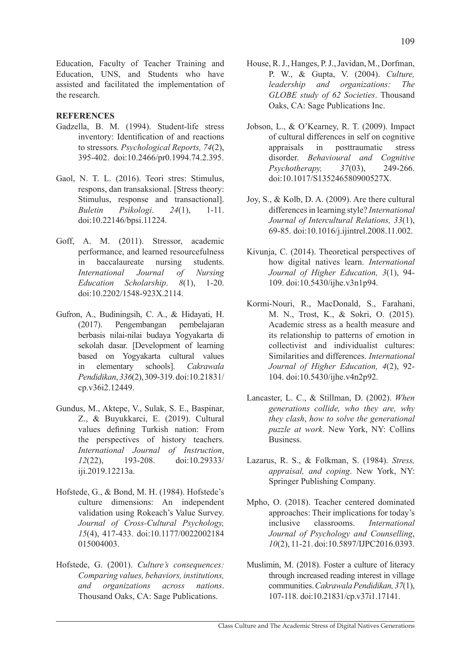Education, Faculty of Teacher Training and Education, UNS, and Students who have assisted and facilitated the implementation of the research.

## **REFERENCES**

- Gadzella, B. M. (1994). Student-life stress inventory: Identification of and reactions to stressors*. Psychological Reports, 74*(2), 395-402. doi:10.2466/pr0.1994.74.2.395.
- Gaol, N. T. L. (2016). Teori stres: Stimulus, respons, dan transaksional. [Stress theory: Stimulus, response and transactional]. *Buletin Psikologi*. *24*(1), 1-11. doi:10.22146/bpsi.11224.
- Goff, A. M. (2011). Stressor, academic performance, and learned resourcefulness in baccalaureate nursing students. *International Journal of Nursing Education Scholarship*. *8*(1), 1-20. doi:10.2202/1548-923X.2114.
- Gufron, A., Budiningsih, C. A., & Hidayati, H. (2017). Pengembangan pembelajaran berbasis nilai-nilai budaya Yogyakarta di sekolah dasar. [Development of learning based on Yogyakarta cultural values in elementary schools]. *Cakrawala Pendidikan*, *336*(2), 309-319. doi:10.21831/ cp.v36i2.12449.
- Gundus, M., Aktepe, V., Sulak, S. E., Baspinar, Z., & Buyukkarci, E. (2019). Cultural values defining Turkish nation: From the perspectives of history teachers. *International Journal of Instruction*, *12*(22), 193-208. doi:10.29333/ iji.2019.12213a.
- Hofstede, G., & Bond, M. H. (1984). Hofstede's culture dimensions: An independent validation using Rokeach's Value Survey. *Journal of Cross-Cultural Psychology, 15*(4), 417-433. doi:10.1177/0022002184 015004003.
- Hofstede, G. (2001). *Culture's consequences: Comparing values, behaviors, institutions, and organizations across nations*. Thousand Oaks, CA: Sage Publications.
- House, R. J., Hanges, P. J., Javidan, M., Dorfman, P. W., & Gupta, V. (2004). *Culture, leadership and organizations: The GLOBE study of 62 Societies*. Thousand Oaks, CA: Sage Publications Inc.
- Jobson, L., & O'Kearney, R. T. (2009). Impact of cultural differences in self on cognitive appraisals in posttraumatic stress disorder. *Behavioural and Cognitive Psychotherapy, 37*(03), 249-266. doi:10.1017/S135246580900527X.
- Joy, S., & Kolb, D. A. (2009). Are there cultural differences in learning style? *International Journal of Intercultural Relations, 33*(1), 69-85. doi:10.1016/j.ijintrel.2008.11.002.
- Kivunja, C. (2014). Theoretical perspectives of how digital natives learn. *International Journal of Higher Education, 3*(1), 94- 109. doi:10.5430/ijhe.v3n1p94.
- Kormi-Nouri, R., MacDonald, S., Farahani, M. N., Trost, K., & Sokri, O. (2015). Academic stress as a health measure and its relationship to patterns of emotion in collectivist and individualist cultures: Similarities and differences. *International Journal of Higher Education, 4*(2), 92- 104. doi:10.5430/ijhe.v4n2p92.
- Lancaster, L. C., & Stillman, D. (2002). *When generations collide, who they are, why they clash*, *how to solve the generational puzzle at work*. New York, NY: Collins Business.
- Lazarus, R. S., & Folkman, S. (1984). *Stress, appraisal, and coping*. New York, NY: Springer Publishing Company.
- Mpho, O. (2018). Teacher centered dominated approaches: Their implications for today's inclusive classrooms. *International Journal of Psychology and Counselling*, *10*(2), 11-21. doi:10.5897/IJPC2016.0393.
- Muslimin, M. (2018). Foster a culture of literacy through increased reading interest in village communities. *Cakrawala Pendidikan, 37*(1), 107-118. doi:10.21831/cp.v37i1.17141.